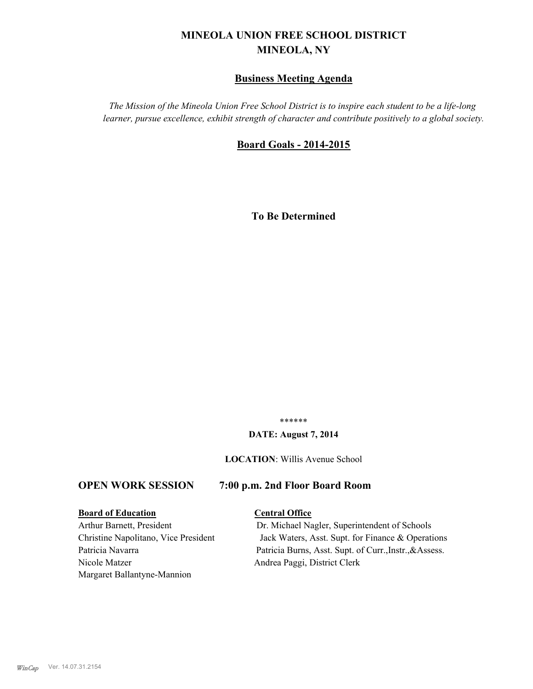# **MINEOLA UNION FREE SCHOOL DISTRICT MINEOLA, NY**

# **Business Meeting Agenda**

*The Mission of the Mineola Union Free School District is to inspire each student to be a life-long learner, pursue excellence, exhibit strength of character and contribute positively to a global society.*

### **Board Goals - 2014-2015**

**To Be Determined**

\*\*\*\*\*\*

#### **DATE: August 7, 2014**

**LOCATION**: Willis Avenue School

## **OPEN WORK SESSION 7:00 p.m. 2nd Floor Board Room**

### **Board of Education Central Office**

Nicole Matzer Andrea Paggi, District Clerk Margaret Ballantyne-Mannion

Arthur Barnett, President Dr. Michael Nagler, Superintendent of Schools Christine Napolitano, Vice President Jack Waters, Asst. Supt. for Finance & Operations Patricia Navarra Patricia Burns, Asst. Supt. of Curr., Instr., & Assess.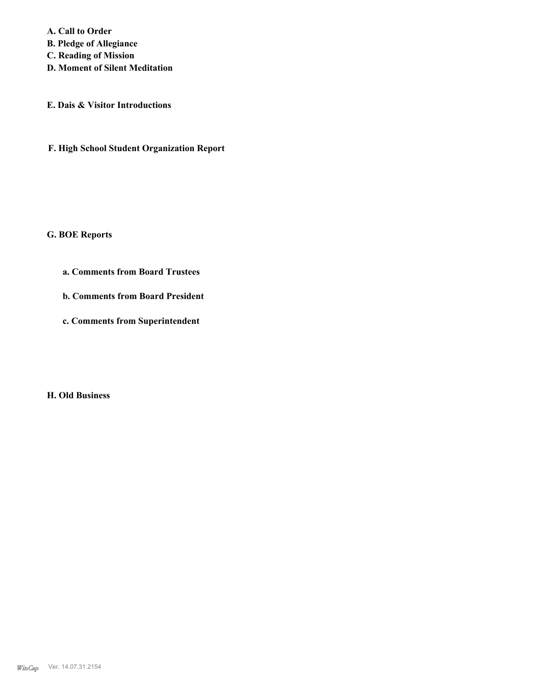**A. Call to Order B. Pledge of Allegiance C. Reading of Mission D. Moment of Silent Meditation**

**E. Dais & Visitor Introductions**

**F. High School Student Organization Report**

**G. BOE Reports**

**a. Comments from Board Trustees**

**b. Comments from Board President**

**c. Comments from Superintendent**

**H. Old Business**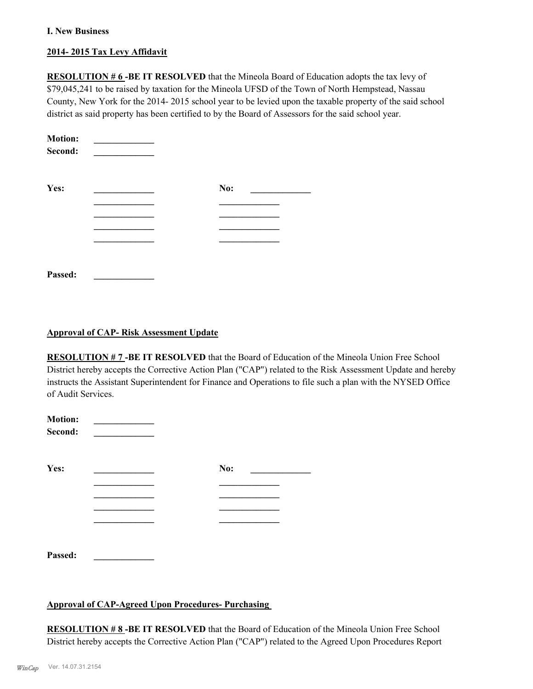#### **I. New Business**

### **2014- 2015 Tax Levy Affidavit**

**RESOLUTION # 6-BE IT RESOLVED** that the Mineola Board of Education adopts the tax levy of \$79,045,241 to be raised by taxation for the Mineola UFSD of the Town of North Hempstead, Nassau County, New York for the 2014- 2015 school year to be levied upon the taxable property of the said school district as said property has been certified to by the Board of Assessors for the said school year.

| <b>Motion:</b><br>Second: |     |
|---------------------------|-----|
| Yes:                      | No: |
|                           |     |
|                           |     |
|                           |     |
| Passed:                   |     |

### **Approval of CAP- Risk Assessment Update**

**RESOLUTION # 7 -BE IT RESOLVED** that the Board of Education of the Mineola Union Free School District hereby accepts the Corrective Action Plan ("CAP") related to the Risk Assessment Update and hereby instructs the Assistant Superintendent for Finance and Operations to file such a plan with the NYSED Office of Audit Services.

| <b>Motion:</b><br>Second: |     |  |
|---------------------------|-----|--|
| Yes:                      | No: |  |
|                           |     |  |
|                           |     |  |
|                           |     |  |
|                           |     |  |
| Passed:                   |     |  |

# **Approval of CAP-Agreed Upon Procedures- Purchasing**

**RESOLUTION # 8 -BE IT RESOLVED** that the Board of Education of the Mineola Union Free School District hereby accepts the Corrective Action Plan ("CAP") related to the Agreed Upon Procedures Report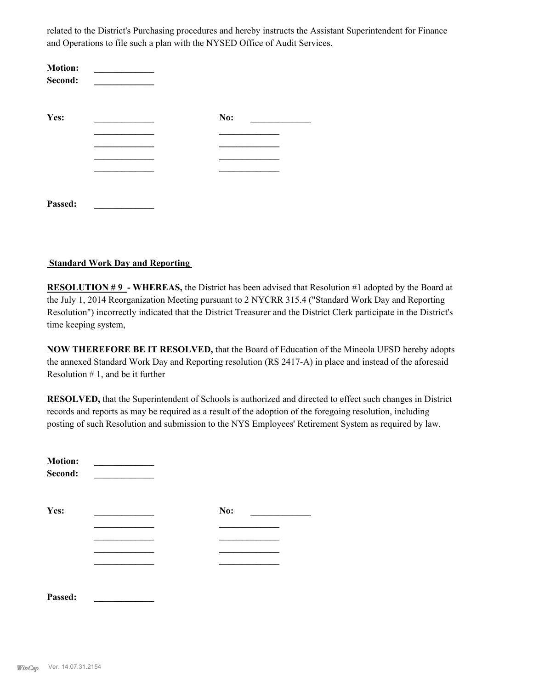related to the District's Purchasing procedures and hereby instructs the Assistant Superintendent for Finance and Operations to file such a plan with the NYSED Office of Audit Services.

| <b>Motion:</b><br>Second: |     |
|---------------------------|-----|
| Yes:                      | No: |
|                           |     |
|                           |     |
|                           |     |
|                           |     |
|                           |     |
| Passed:                   |     |

#### **Standard Work Day and Reporting**

**RESOLUTION #9 - WHEREAS, the District has been advised that Resolution #1 adopted by the Board at** the July 1, 2014 Reorganization Meeting pursuant to 2 NYCRR 315.4 ("Standard Work Day and Reporting Resolution") incorrectly indicated that the District Treasurer and the District Clerk participate in the District's time keeping system,

**NOW THEREFORE BE IT RESOLVED,** that the Board of Education of the Mineola UFSD hereby adopts the annexed Standard Work Day and Reporting resolution (RS 2417-A) in place and instead of the aforesaid Resolution  $# 1$ , and be it further

**RESOLVED,** that the Superintendent of Schools is authorized and directed to effect such changes in District records and reports as may be required as a result of the adoption of the foregoing resolution, including posting of such Resolution and submission to the NYS Employees' Retirement System as required by law.

| <b>Motion:</b><br>Second: |     |
|---------------------------|-----|
| Yes:                      | No: |
|                           |     |
|                           |     |
|                           |     |
|                           |     |
|                           |     |
| Passed:                   |     |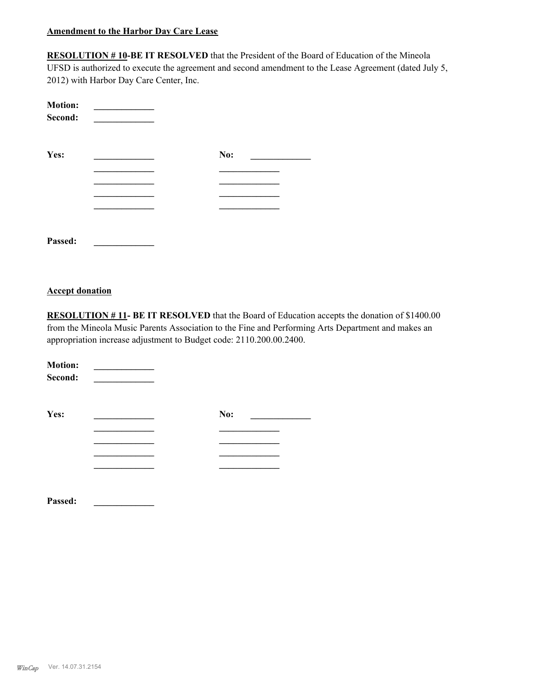#### **Amendment to the Harbor Day Care Lease**

**RESOLUTION # 10-BE IT RESOLVED** that the President of the Board of Education of the Mineola UFSD is authorized to execute the agreement and second amendment to the Lease Agreement (dated July 5, 2012) with Harbor Day Care Center, Inc.

| <b>Motion:</b><br>Second: |     |  |
|---------------------------|-----|--|
| Yes:                      | No: |  |
|                           |     |  |
|                           |     |  |
|                           |     |  |
|                           |     |  |
|                           |     |  |
| Passed:                   |     |  |

#### **Accept donation**

**RESOLUTION # 11- BE IT RESOLVED** that the Board of Education accepts the donation of \$1400.00 from the Mineola Music Parents Association to the Fine and Performing Arts Department and makes an appropriation increase adjustment to Budget code: 2110.200.00.2400.

| <b>Motion:</b><br>Second: |     |
|---------------------------|-----|
| Yes:                      | No: |
|                           |     |
|                           |     |
|                           |     |
|                           |     |
|                           |     |
|                           |     |

**Passed: \_\_\_\_\_\_\_\_\_\_\_\_\_**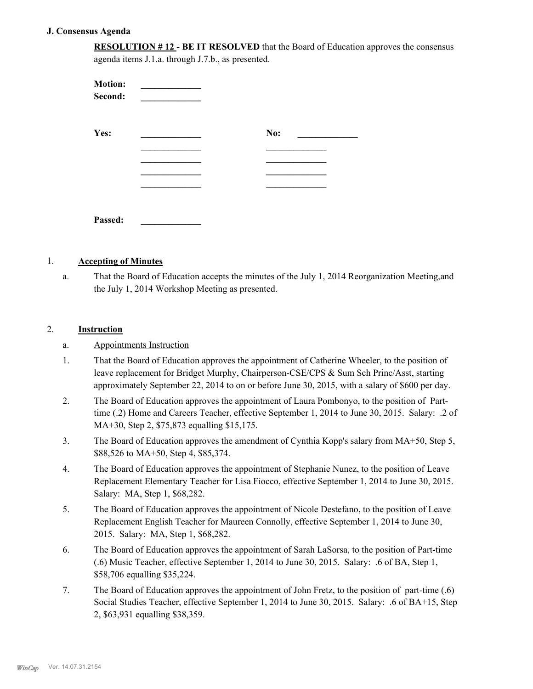#### **J. Consensus Agenda**

**RESOLUTION # 12 - BE IT RESOLVED** that the Board of Education approves the consensus agenda items J.1.a. through J.7.b., as presented.

| <b>Motion:</b><br>Second: |     |  |
|---------------------------|-----|--|
| Yes:                      | No: |  |
|                           |     |  |
|                           |     |  |
|                           |     |  |
|                           |     |  |
| Passed:                   |     |  |

#### 1. **Accepting of Minutes**

That the Board of Education accepts the minutes of the July 1, 2014 Reorganization Meeting,and the July 1, 2014 Workshop Meeting as presented. a.

### 2. **Instruction**

- a. Appointments Instruction
- That the Board of Education approves the appointment of Catherine Wheeler, to the position of leave replacement for Bridget Murphy, Chairperson-CSE/CPS & Sum Sch Princ/Asst, starting approximately September 22, 2014 to on or before June 30, 2015, with a salary of \$600 per day. 1.
- The Board of Education approves the appointment of Laura Pombonyo, to the position of Parttime (.2) Home and Careers Teacher, effective September 1, 2014 to June 30, 2015. Salary: .2 of MA+30, Step 2, \$75,873 equalling \$15,175. 2.
- The Board of Education approves the amendment of Cynthia Kopp's salary from MA+50, Step 5, \$88,526 to MA+50, Step 4, \$85,374. 3.
- The Board of Education approves the appointment of Stephanie Nunez, to the position of Leave Replacement Elementary Teacher for Lisa Fiocco, effective September 1, 2014 to June 30, 2015. Salary: MA, Step 1, \$68,282. 4.
- The Board of Education approves the appointment of Nicole Destefano, to the position of Leave Replacement English Teacher for Maureen Connolly, effective September 1, 2014 to June 30, 2015. Salary: MA, Step 1, \$68,282. 5.
- The Board of Education approves the appointment of Sarah LaSorsa, to the position of Part-time (.6) Music Teacher, effective September 1, 2014 to June 30, 2015. Salary: .6 of BA, Step 1, \$58,706 equalling \$35,224. 6.
- The Board of Education approves the appointment of John Fretz, to the position of part-time (.6) Social Studies Teacher, effective September 1, 2014 to June 30, 2015. Salary: .6 of BA+15, Step 2, \$63,931 equalling \$38,359. 7.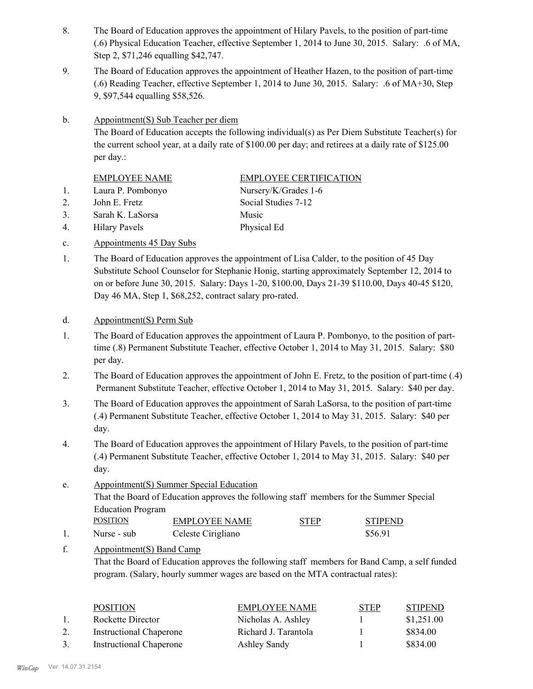- The Board of Education approves the appointment of Hilary Pavels, to the position of part-time (.6) Physical Education Teacher, effective September 1, 2014 to June 30, 2015. Salary: .6 of MA, Step 2, \$71,246 equalling \$42,747. 8.
- The Board of Education approves the appointment of Heather Hazen, to the position of part-time (.6) Reading Teacher, effective September 1, 2014 to June 30, 2015. Salary: .6 of MA+30, Step 9, \$97,544 equalling \$58,526. 9.
- Appointment(S) Sub Teacher per diem b.

The Board of Education accepts the following individual(s) as Per Diem Substitute Teacher(s) for the current school year, at a daily rate of \$100.00 per day; and retirees at a daily rate of \$125.00 per day.:

|    | <b>EMPLOYEE NAME</b> | <b>EMPLOYEE CERTIFICATION</b> |
|----|----------------------|-------------------------------|
| 1. | Laura P. Pombonyo    | Nursery/K/Grades 1-6          |
| 2. | John E. Fretz        | Social Studies 7-12           |
| 3. | Sarah K. LaSorsa     | Music                         |
| 4. | <b>Hilary Pavels</b> | Physical Ed                   |
|    |                      |                               |

- c. Appointments 45 Day Subs
- The Board of Education approves the appointment of Lisa Calder, to the position of 45 Day Substitute School Counselor for Stephanie Honig, starting approximately September 12, 2014 to on or before June 30, 2015. Salary: Days 1-20, \$100.00, Days 21-39 \$110.00, Days 40-45 \$120, Day 46 MA, Step 1, \$68,252, contract salary pro-rated. 1.

#### d. Appointment(S) Perm Sub

- The Board of Education approves the appointment of Laura P. Pombonyo, to the position of parttime (.8) Permanent Substitute Teacher, effective October 1, 2014 to May 31, 2015. Salary: \$80 per day. 1.
- The Board of Education approves the appointment of John E. Fretz, to the position of part-time (.4) Permanent Substitute Teacher, effective October 1, 2014 to May 31, 2015. Salary: \$40 per day. 2.
- The Board of Education approves the appointment of Sarah LaSorsa, to the position of part-time (.4) Permanent Substitute Teacher, effective October 1, 2014 to May 31, 2015. Salary: \$40 per day. 3.
- The Board of Education approves the appointment of Hilary Pavels, to the position of part-time (.4) Permanent Substitute Teacher, effective October 1, 2014 to May 31, 2015. Salary: \$40 per day. 4.
- Appointment(S) Summer Special Education That the Board of Education approves the following staff members for the Summer Special Education Program e. POSITION EMPLOYEE NAME STEP STIPEND
- 1. Nurse sub Celeste Cirigliano  $$56.91$

#### Appointment(S) Band Camp f.

That the Board of Education approves the following staff members for Band Camp, a self funded program. (Salary, hourly summer wages are based on the MTA contractual rates):

| <b>POSITION</b>                | <b>EMPLOYEE NAME</b> | <b>STEP</b> | <b>STIPEND</b> |
|--------------------------------|----------------------|-------------|----------------|
| Rockette Director              | Nicholas A. Ashley   |             | \$1,251.00     |
| <b>Instructional Chaperone</b> | Richard J. Tarantola |             | \$834.00       |
| <b>Instructional Chaperone</b> | Ashley Sandy         |             | \$834.00       |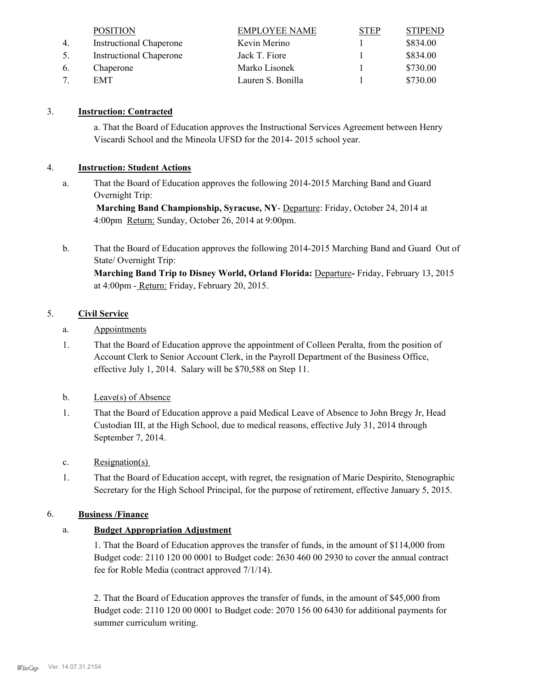|    | <b>POSITION</b>                | <b>EMPLOYEE NAME</b> | <b>STEP</b> | <b>STIPEND</b> |
|----|--------------------------------|----------------------|-------------|----------------|
| 4. | <b>Instructional Chaperone</b> | Kevin Merino         |             | \$834.00       |
| 5. | <b>Instructional Chaperone</b> | Jack T. Fiore        |             | \$834.00       |
| 6. | Chaperone                      | Marko Lisonek        |             | \$730.00       |
|    | EMT                            | Lauren S. Bonilla    |             | \$730.00       |

# 3. **Instruction: Contracted**

a. That the Board of Education approves the Instructional Services Agreement between Henry Viscardi School and the Mineola UFSD for the 2014- 2015 school year.

## 4. **Instruction: Student Actions**

That the Board of Education approves the following 2014-2015 Marching Band and Guard Overnight Trip: a.

 **Marching Band Championship, Syracuse, NY**- Departure: Friday, October 24, 2014 at 4:00pm Return: Sunday, October 26, 2014 at 9:00pm.

That the Board of Education approves the following 2014-2015 Marching Band and Guard Out of State/ Overnight Trip: b.

**Marching Band Trip to Disney World, Orland Florida: Departure- Friday, February 13, 2015** at 4:00pm - Return: Friday, February 20, 2015.

## 5. **Civil Service**

- a. Appointments
- That the Board of Education approve the appointment of Colleen Peralta, from the position of Account Clerk to Senior Account Clerk, in the Payroll Department of the Business Office, effective July 1, 2014. Salary will be \$70,588 on Step 11. 1.
- b. Leave(s) of Absence
- That the Board of Education approve a paid Medical Leave of Absence to John Bregy Jr, Head Custodian III, at the High School, due to medical reasons, effective July 31, 2014 through September 7, 2014. 1.
- c. Resignation(s)
- That the Board of Education accept, with regret, the resignation of Marie Despirito, Stenographic Secretary for the High School Principal, for the purpose of retirement, effective January 5, 2015. 1.

### 6. **Business /Finance**

# a. **Budget Appropriation Adjustment**

1. That the Board of Education approves the transfer of funds, in the amount of \$114,000 from Budget code: 2110 120 00 0001 to Budget code: 2630 460 00 2930 to cover the annual contract fee for Roble Media (contract approved 7/1/14).

2. That the Board of Education approves the transfer of funds, in the amount of \$45,000 from Budget code: 2110 120 00 0001 to Budget code: 2070 156 00 6430 for additional payments for summer curriculum writing.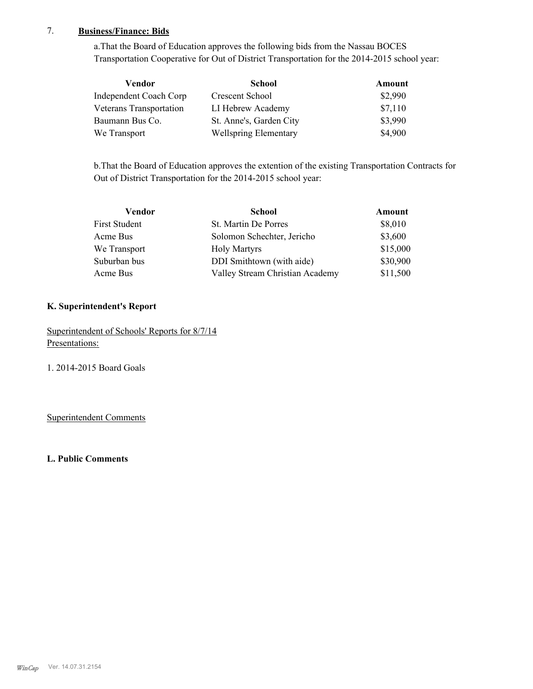# 7. **Business/Finance: Bids**

a.That the Board of Education approves the following bids from the Nassau BOCES Transportation Cooperative for Out of District Transportation for the 2014-2015 school year:

| Vendor                  | <b>School</b>                | Amount  |
|-------------------------|------------------------------|---------|
| Independent Coach Corp  | Crescent School              | \$2,990 |
| Veterans Transportation | LI Hebrew Academy            | \$7,110 |
| Baumann Bus Co.         | St. Anne's, Garden City      | \$3,990 |
| We Transport            | <b>Wellspring Elementary</b> | \$4,900 |

b.That the Board of Education approves the extention of the existing Transportation Contracts for Out of District Transportation for the 2014-2015 school year:

| Vendor        | <b>School</b>                   | Amount   |
|---------------|---------------------------------|----------|
| First Student | St. Martin De Porres            | \$8,010  |
| Acme Bus      | Solomon Schechter, Jericho      | \$3,600  |
| We Transport  | <b>Holy Martyrs</b>             | \$15,000 |
| Suburban bus  | DDI Smithtown (with aide)       | \$30,900 |
| Acme Bus      | Valley Stream Christian Academy | \$11,500 |

### **K. Superintendent's Report**

Superintendent of Schools' Reports for 8/7/14 Presentations:

1. 2014-2015 Board Goals

Superintendent Comments

**L. Public Comments**